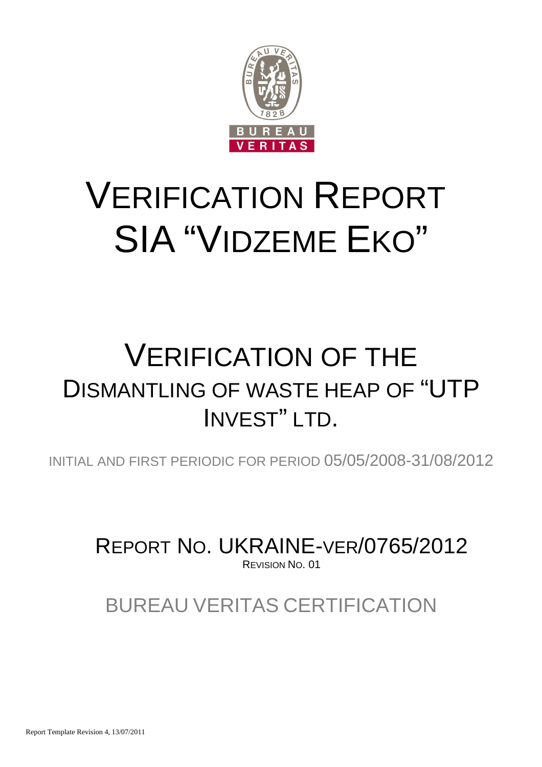

# VERIFICATION REPORT SIA "VIDZEME EKO"

## VERIFICATION OF THE DISMANTLING OF WASTE HEAP OF "UTP INVEST" LTD.

INITIAL AND FIRST PERIODIC FOR PERIOD 05/05/2008-31/08/2012

REPORT NO. UKRAINE-VER/0765/2012 REVISION NO. 01

BUREAU VERITAS CERTIFICATION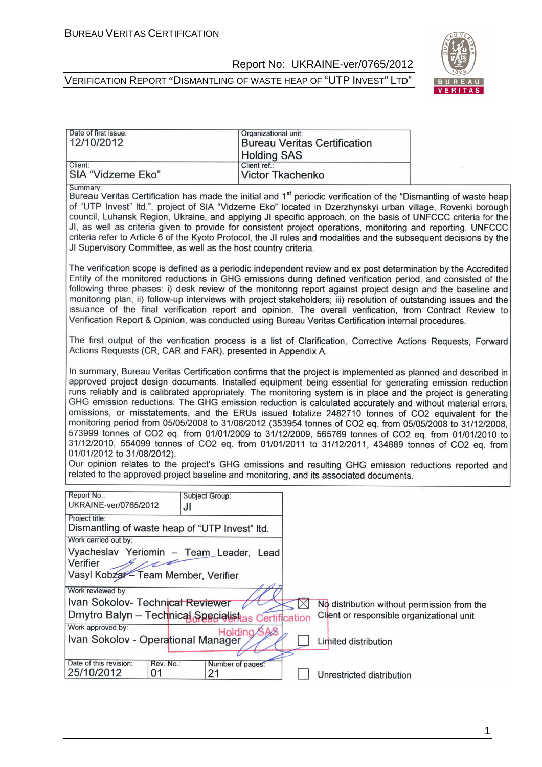



| Date of first issue:<br>12/10/2012 | Organizational unit:<br><b>Bureau Veritas Certification</b> |  |
|------------------------------------|-------------------------------------------------------------|--|
|                                    | <b>Holding SAS</b>                                          |  |
| Client:<br>SIA "Vidzeme Eko"       | Client ref.:<br>Victor Tkachenko                            |  |

Summary

Bureau Veritas Certification has made the initial and 1<sup>st</sup> periodic verification of the "Dismantling of waste heap of "UTP Invest" Itd.", project of SIA "Vidzeme Eko" located in Dzerzhynskyi urban village. Rovenki borough council, Luhansk Region, Ukraine, and applying JI specific approach, on the basis of UNFCCC criteria for the JI, as well as criteria given to provide for consistent project operations, monitoring and reporting. UNFCCC criteria refer to Article 6 of the Kyoto Protocol, the JI rules and modalities and the subsequent decisions by the JI Supervisory Committee, as well as the host country criteria.

The verification scope is defined as a periodic independent review and ex post determination by the Accredited Entity of the monitored reductions in GHG emissions during defined verification period, and consisted of the following three phases: i) desk review of the monitoring report against project design and the baseline and monitoring plan; ii) follow-up interviews with project stakeholders; iii) resolution of outstanding issues and the issuance of the final verification report and opinion. The overall verification, from Contract Review to Verification Report & Opinion, was conducted using Bureau Veritas Certification internal procedures.

The first output of the verification process is a list of Clarification. Corrective Actions Requests. Forward Actions Requests (CR, CAR and FAR), presented in Appendix A.

In summary, Bureau Veritas Certification confirms that the project is implemented as planned and described in approved project design documents. Installed equipment being essential for generating emission reduction runs reliably and is calibrated appropriately. The monitoring system is in place and the project is generating GHG emission reductions. The GHG emission reduction is calculated accurately and without material errors, omissions, or misstatements, and the ERUs issued totalize 2482710 tonnes of CO2 equivalent for the monitoring period from 05/05/2008 to 31/08/2012 (353954 tonnes of CO2 eq. from 05/05/2008 to 31/12/2008, 573999 tonnes of CO2 eq. from 01/01/2009 to 31/12/2009, 565769 tonnes of CO2 eq. from 01/01/2010 to 31/12/2010, 554099 tonnes of CO2 eq. from 01/01/2011 to 31/12/2011, 434889 tonnes of CO2 eq. from 01/01/2012 to 31/08/2012).

Our opinion relates to the project's GHG emissions and resulting GHG emission reductions reported and related to the approved project baseline and monitoring, and its associated documents.

| Report No.:<br>UKRAINE-ver/0765/2012                | <b>Subject Group:</b> |                                             |
|-----------------------------------------------------|-----------------------|---------------------------------------------|
| Project title:                                      | JI                    |                                             |
| Dismantling of waste heap of "UTP Invest" Itd.      |                       |                                             |
| Work carried out by:                                |                       |                                             |
| Vyacheslav Yeriomin - Team Leader, Lead<br>Verifier |                       |                                             |
| Vasyl Kobzar - Team Member, Verifier                |                       |                                             |
| Work reviewed by:                                   |                       |                                             |
| Ivan Sokolov- Technical Reviewer                    |                       | No distribution without permission from the |
| Dmytro Balyn - Technical Specialistas Certification |                       | Client or responsible organizational unit   |
| Work approved by:                                   | Holding SAS           |                                             |
| Ivan Sokolov - Operational Manager                  |                       | Limited distribution                        |
|                                                     |                       |                                             |
| Date of this revision:<br>Rev. No.:                 | Number of pages:      |                                             |
| 25/10/2012<br>01                                    | 21                    | Unrestricted distribution                   |

1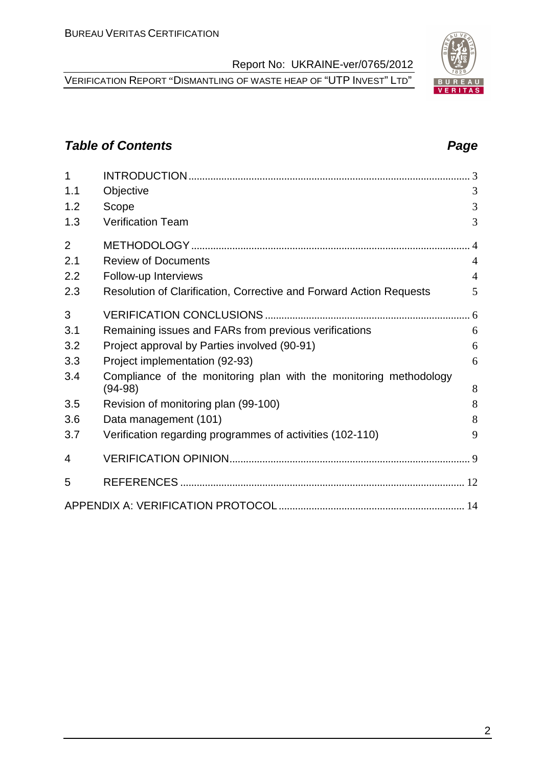VERIFICATION REPORT "DISMANTLING OF WASTE HEAP OF "UTP INVEST" LTD"

#### **Table of Contents Page 2014**

| $\overline{1}$ |                                                                                |                |
|----------------|--------------------------------------------------------------------------------|----------------|
| 1.1            | Objective                                                                      | 3              |
| 1.2            | Scope                                                                          | 3              |
| 1.3            | <b>Verification Team</b>                                                       | 3              |
| $\overline{2}$ |                                                                                |                |
| 2.1            | <b>Review of Documents</b>                                                     | $\overline{4}$ |
| 2.2            | Follow-up Interviews                                                           | $\overline{4}$ |
| 2.3            | Resolution of Clarification, Corrective and Forward Action Requests            | 5              |
| 3              |                                                                                |                |
| 3.1            | Remaining issues and FARs from previous verifications                          | 6              |
| 3.2            | Project approval by Parties involved (90-91)                                   | 6              |
| 3.3            | Project implementation (92-93)                                                 | 6              |
| 3.4            | Compliance of the monitoring plan with the monitoring methodology<br>$(94-98)$ | 8              |
| 3.5            | Revision of monitoring plan (99-100)                                           | 8              |
| 3.6            | Data management (101)                                                          | 8              |
| 3.7            | Verification regarding programmes of activities (102-110)                      | 9              |
| 4              |                                                                                |                |
| 5              |                                                                                |                |
|                |                                                                                |                |

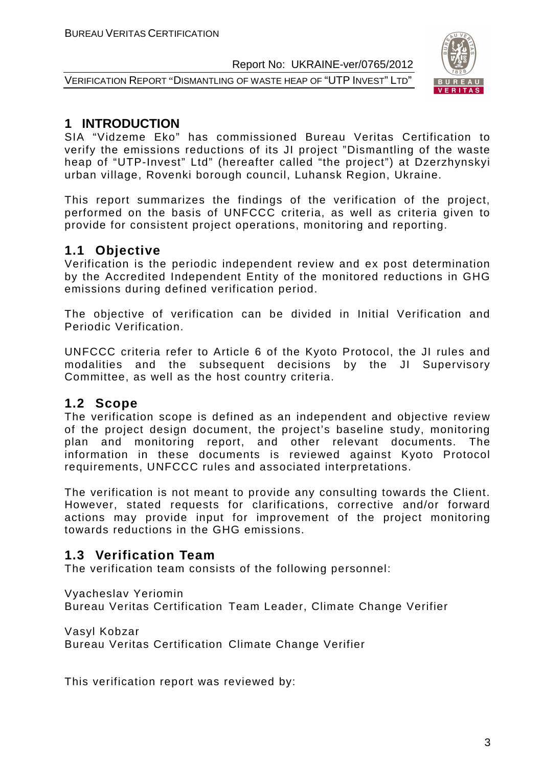VERIFICATION REPORT "DISMANTLING OF WASTE HEAP OF "UTP INVEST" LTD"



#### **1 INTRODUCTION**

SIA "Vidzeme Eko" has commissioned Bureau Veritas Certification to verify the emissions reductions of its JI project "Dismantling of the waste heap of "UTP-Invest" Ltd" (hereafter called "the project") at Dzerzhynskyi urban village, Rovenki borough council, Luhansk Region, Ukraine.

This report summarizes the findings of the verification of the project, performed on the basis of UNFCCC criteria, as well as criteria given to provide for consistent project operations, monitoring and reporting.

#### **1.1 Objective**

Verification is the periodic independent review and ex post determination by the Accredited Independent Entity of the monitored reductions in GHG emissions during defined verification period.

The objective of verification can be divided in Initial Verification and Periodic Verification.

UNFCCC criteria refer to Article 6 of the Kyoto Protocol, the JI rules and modalities and the subsequent decisions by the JI Supervisory Committee, as well as the host country criteria.

#### **1.2 Scope**

The verification scope is defined as an independent and objective review of the project design document, the project's baseline study, monitoring plan and monitoring report, and other relevant documents. The information in these documents is reviewed against Kyoto Protocol requirements, UNFCCC rules and associated interpretations.

The verification is not meant to provide any consulting towards the Client. However, stated requests for clarifications, corrective and/or forward actions may provide input for improvement of the project monitoring towards reductions in the GHG emissions.

#### **1.3 Verification Team**

The verification team consists of the following personnel:

Vyacheslav Yeriomin

Bureau Veritas Certification Team Leader, Climate Change Verifier

Vasyl Kobzar Bureau Veritas Certification Climate Change Verifier

This verification report was reviewed by: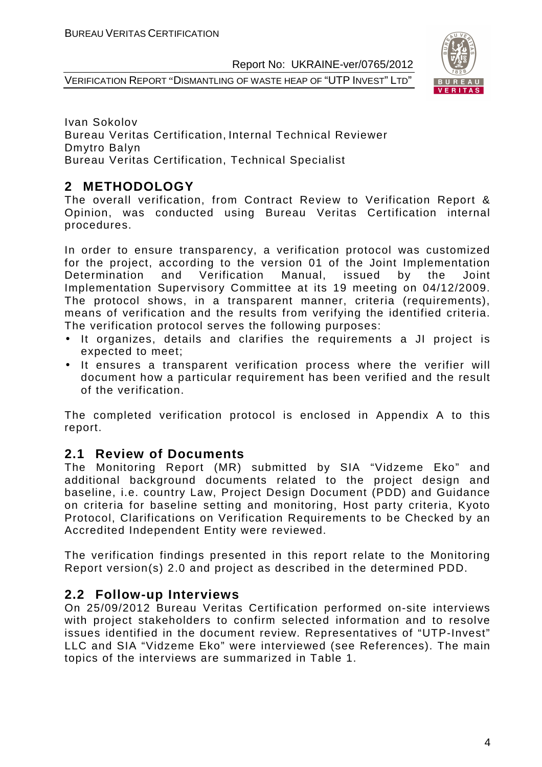VERIFICATION REPORT "DISMANTLING OF WASTE HEAP OF "UTP INVEST" LTD"



Ivan Sokolov Bureau Veritas Certification, Internal Technical Reviewer Dmytro Balyn Bureau Veritas Certification, Technical Specialist

#### **2 METHODOLOGY**

The overall verification, from Contract Review to Verification Report & Opinion, was conducted using Bureau Veritas Certification internal procedures.

In order to ensure transparency, a verification protocol was customized for the project, according to the version 01 of the Joint Implementation Determination and Verification Manual, issued by the Joint Implementation Supervisory Committee at its 19 meeting on 04/12/2009. The protocol shows, in a transparent manner, criteria (requirements), means of verification and the results from verifying the identified criteria. The verification protocol serves the following purposes:

- It organizes, details and clarifies the requirements a JI project is expected to meet;
- It ensures a transparent verification process where the verifier will document how a particular requirement has been verified and the result of the verification.

The completed verification protocol is enclosed in Appendix A to this report.

#### **2.1 Review of Documents**

The Monitoring Report (MR) submitted by SIA "Vidzeme Eko" and additional background documents related to the project design and baseline, i.e. country Law, Project Design Document (PDD) and Guidance on criteria for baseline setting and monitoring, Host party criteria, Kyoto Protocol, Clarifications on Verification Requirements to be Checked by an Accredited Independent Entity were reviewed.

The verification findings presented in this report relate to the Monitoring Report version(s) 2.0 and project as described in the determined PDD.

#### **2.2 Follow-up Interviews**

On 25/09/2012 Bureau Veritas Certification performed on-site interviews with project stakeholders to confirm selected information and to resolve issues identified in the document review. Representatives of "UTP-Invest" LLC and SIA "Vidzeme Eko" were interviewed (see References). The main topics of the interviews are summarized in Table 1.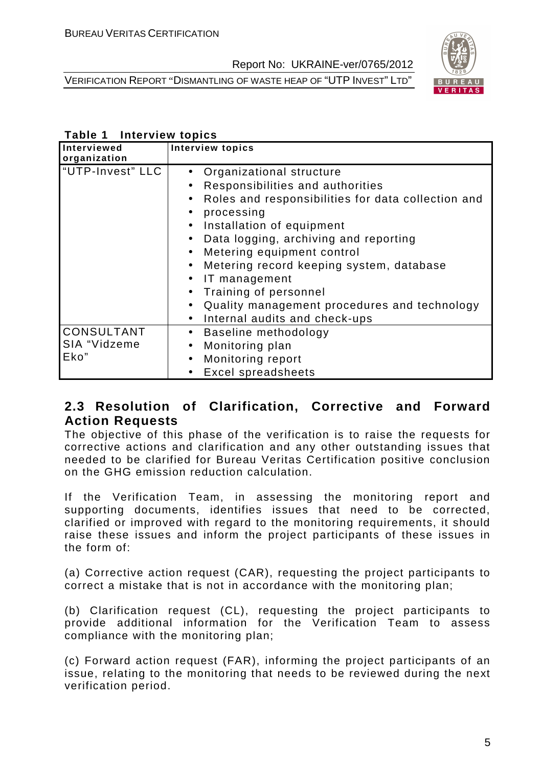VERIFICATION REPORT "DISMANTLING OF WASTE HEAP OF "UTP INVEST" LTD"



#### **Table 1 Interview topics**

| Interviewed<br>organization               | <b>Interview topics</b>                                                                                                                                                                                                                                                                                                                                                                                                                                                                                                                       |
|-------------------------------------------|-----------------------------------------------------------------------------------------------------------------------------------------------------------------------------------------------------------------------------------------------------------------------------------------------------------------------------------------------------------------------------------------------------------------------------------------------------------------------------------------------------------------------------------------------|
| "UTP-Invest" LLC                          | Organizational structure<br>Responsibilities and authorities<br>$\bullet$<br>Roles and responsibilities for data collection and<br>$\bullet$<br>processing<br>$\bullet$<br>Installation of equipment<br>$\bullet$<br>Data logging, archiving and reporting<br>$\bullet$<br>Metering equipment control<br>$\bullet$<br>Metering record keeping system, database<br>$\bullet$<br>IT management<br>$\bullet$<br>Training of personnel<br>Quality management procedures and technology<br>$\bullet$<br>Internal audits and check-ups<br>$\bullet$ |
| <b>CONSULTANT</b><br>SIA "Vidzeme<br>Eko" | Baseline methodology<br>$\bullet$<br>Monitoring plan<br>$\bullet$<br>Monitoring report<br>$\bullet$<br>Excel spreadsheets                                                                                                                                                                                                                                                                                                                                                                                                                     |

#### **2.3 Resolution of Clarification, Corrective and Forward Action Requests**

The objective of this phase of the verification is to raise the requests for corrective actions and clarification and any other outstanding issues that needed to be clarified for Bureau Veritas Certification positive conclusion on the GHG emission reduction calculation.

If the Verification Team, in assessing the monitoring report and supporting documents, identifies issues that need to be corrected, clarified or improved with regard to the monitoring requirements, it should raise these issues and inform the project participants of these issues in the form of:

(a) Corrective action request (CAR), requesting the project participants to correct a mistake that is not in accordance with the monitoring plan;

(b) Clarification request (CL), requesting the project participants to provide additional information for the Verification Team to assess compliance with the monitoring plan;

(c) Forward action request (FAR), informing the project participants of an issue, relating to the monitoring that needs to be reviewed during the next verification period.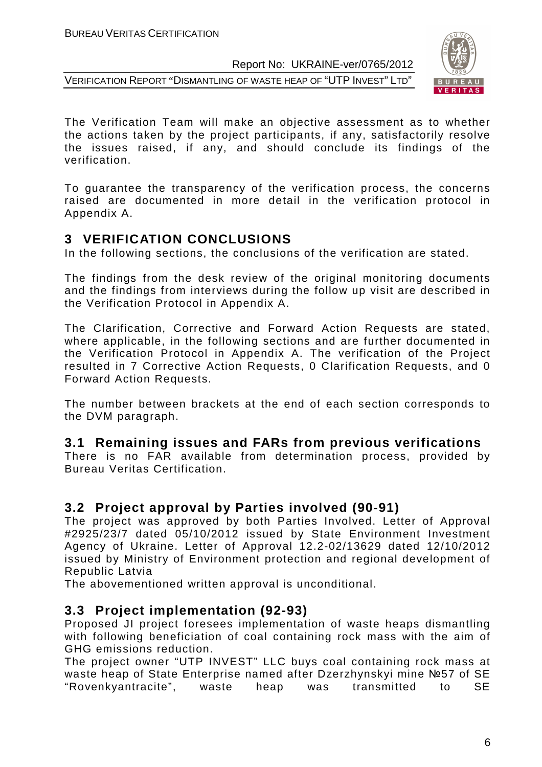VERIFICATION REPORT "DISMANTLING OF WASTE HEAP OF "UTP INVEST" LTD"



The Verification Team will make an objective assessment as to whether the actions taken by the project participants, if any, satisfactorily resolve the issues raised, if any, and should conclude its findings of the verification.

To guarantee the transparency of the verification process, the concerns raised are documented in more detail in the verification protocol in Appendix A.

#### **3 VERIFICATION CONCLUSIONS**

In the following sections, the conclusions of the verification are stated.

The findings from the desk review of the original monitoring documents and the findings from interviews during the follow up visit are described in the Verification Protocol in Appendix A.

The Clarification, Corrective and Forward Action Requests are stated, where applicable, in the following sections and are further documented in the Verification Protocol in Appendix A. The verification of the Project resulted in 7 Corrective Action Requests, 0 Clarification Requests, and 0 Forward Action Requests.

The number between brackets at the end of each section corresponds to the DVM paragraph.

#### **3.1 Remaining issues and FARs from previous verifications**

There is no FAR available from determination process, provided by Bureau Veritas Certification.

#### **3.2 Project approval by Parties involved (90-91)**

The project was approved by both Parties Involved. Letter of Approval #2925/23/7 dated 05/10/2012 issued by State Environment Investment Agency of Ukraine. Letter of Approval 12.2-02/13629 dated 12/10/2012 issued by Ministry of Environment protection and regional development of Republic Latvia

The abovementioned written approval is unconditional.

#### **3.3 Project implementation (92-93)**

Proposed JI project foresees implementation of waste heaps dismantling with following beneficiation of coal containing rock mass with the aim of GHG emissions reduction.

The project owner "UTP INVEST" LLC buys coal containing rock mass at waste heap of State Enterprise named after Dzerzhynskyi mine №57 of SE "Rovenkyantracite", waste heap was transmitted to SE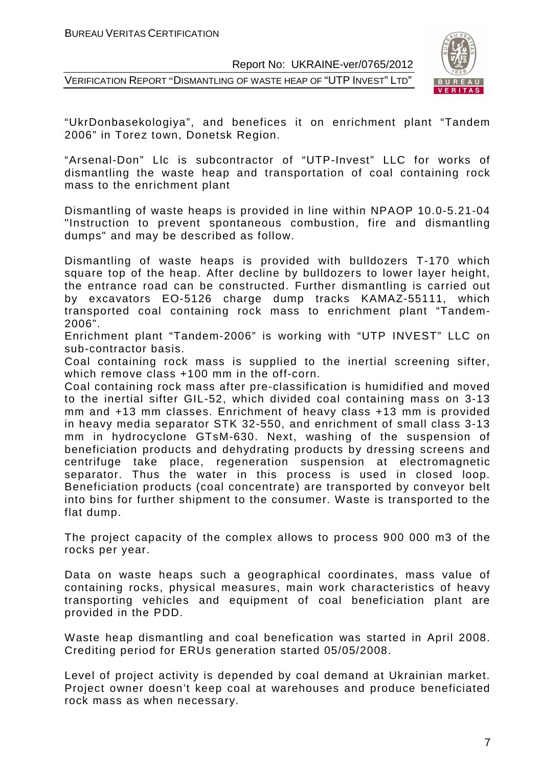VERIFICATION REPORT "DISMANTLING OF WASTE HEAP OF "UTP INVEST" LTD"



"UkrDonbasekologiya", and benefices it on enrichment plant "Tandem 2006" in Torez town, Donetsk Region.

"Arsenal-Don" Llc is subcontractor of "UTP-Invest" LLC for works of dismantling the waste heap and transportation of coal containing rock mass to the enrichment plant

Dismantling of waste heaps is provided in line within NPAOP 10.0-5.21-04 "Instruction to prevent spontaneous combustion, fire and dismantling dumps" and may be described as follow.

Dismantling of waste heaps is provided with bulldozers T-170 which square top of the heap. After decline by bulldozers to lower layer height, the entrance road can be constructed. Further dismantling is carried out by excavators EO-5126 charge dump tracks KAMAZ-55111, which transported coal containing rock mass to enrichment plant "Tandem-2006".

Enrichment plant "Tandem-2006" is working with "UTP INVEST" LLC on sub-contractor basis.

Coal containing rock mass is supplied to the inertial screening sifter, which remove class +100 mm in the off-corn.

Coal containing rock mass after pre-classification is humidified and moved to the inertial sifter GIL-52, which divided coal containing mass on 3-13 mm and +13 mm classes. Enrichment of heavy class +13 mm is provided in heavy media separator STK 32-550, and enrichment of small class 3-13 mm in hydrocyclone GTsM-630. Next, washing of the suspension of beneficiation products and dehydrating products by dressing screens and centrifuge take place, regeneration suspension at electromagnetic separator. Thus the water in this process is used in closed loop. Beneficiation products (coal concentrate) are transported by conveyor belt into bins for further shipment to the consumer. Waste is transported to the flat dump.

The project capacity of the complex allows to process 900 000 m3 of the rocks per year.

Data on waste heaps such a geographical coordinates, mass value of containing rocks, physical measures, main work characteristics of heavy transporting vehicles and equipment of coal beneficiation plant are provided in the PDD.

Waste heap dismantling and coal benefication was started in April 2008. Crediting period for ERUs generation started 05/05/2008.

Level of project activity is depended by coal demand at Ukrainian market. Project owner doesn't keep coal at warehouses and produce beneficiated rock mass as when necessary.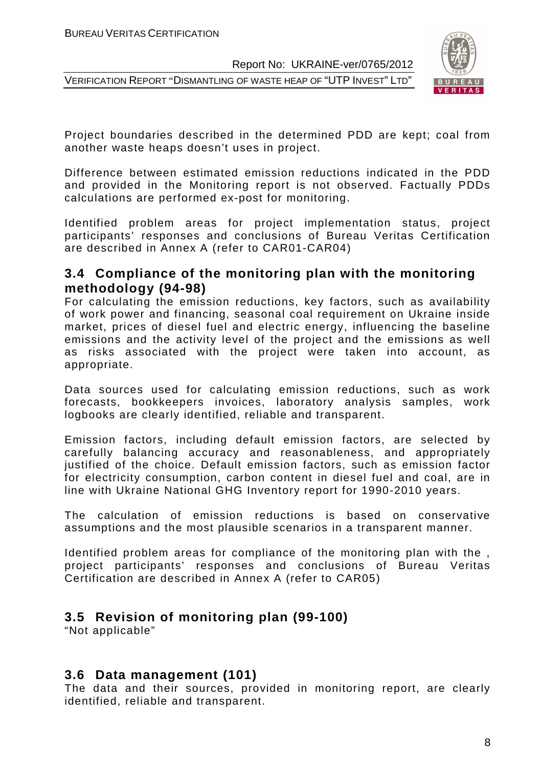VERIFICATION REPORT "DISMANTLING OF WASTE HEAP OF "UTP INVEST" LTD"



Project boundaries described in the determined PDD are kept; coal from another waste heaps doesn't uses in project.

Difference between estimated emission reductions indicated in the PDD and provided in the Monitoring report is not observed. Factually PDDs calculations are performed ex-post for monitoring.

Identified problem areas for project implementation status, project participants' responses and conclusions of Bureau Veritas Certification are described in Annex A (refer to CAR01-CAR04)

#### **3.4 Compliance of the monitoring plan with the monitoring methodology (94-98)**

For calculating the emission reductions, key factors, such as availability of work power and financing, seasonal coal requirement on Ukraine inside market, prices of diesel fuel and electric energy, influencing the baseline emissions and the activity level of the project and the emissions as well as risks associated with the project were taken into account, as appropriate.

Data sources used for calculating emission reductions, such as work forecasts, bookkeepers invoices, laboratory analysis samples, work logbooks are clearly identified, reliable and transparent.

Emission factors, including default emission factors, are selected by carefully balancing accuracy and reasonableness, and appropriately justified of the choice. Default emission factors, such as emission factor for electricity consumption, carbon content in diesel fuel and coal, are in line with Ukraine National GHG Inventory report for 1990-2010 years.

The calculation of emission reductions is based on conservative assumptions and the most plausible scenarios in a transparent manner.

Identified problem areas for compliance of the monitoring plan with the , project participants' responses and conclusions of Bureau Veritas Certification are described in Annex A (refer to CAR05)

#### **3.5 Revision of monitoring plan (99-100)**

"Not applicable"

#### **3.6 Data management (101)**

The data and their sources, provided in monitoring report, are clearly identified, reliable and transparent.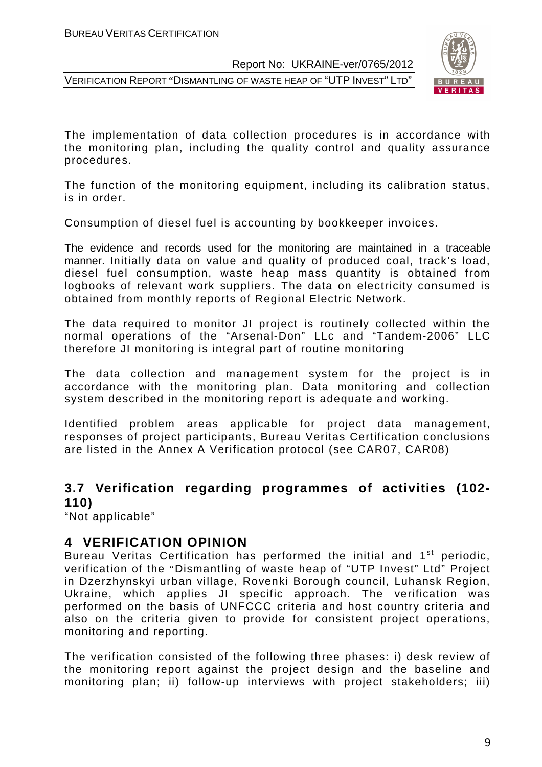VERIFICATION REPORT "DISMANTLING OF WASTE HEAP OF "UTP INVEST" LTD"



The implementation of data collection procedures is in accordance with the monitoring plan, including the quality control and quality assurance procedures.

The function of the monitoring equipment, including its calibration status, is in order.

Consumption of diesel fuel is accounting by bookkeeper invoices.

The evidence and records used for the monitoring are maintained in a traceable manner. Initially data on value and quality of produced coal, track's load, diesel fuel consumption, waste heap mass quantity is obtained from logbooks of relevant work suppliers. The data on electricity consumed is obtained from monthly reports of Regional Electric Network.

The data required to monitor JI project is routinely collected within the normal operations of the "Arsenal-Don" LLc and "Tandem-2006" LLC therefore JI monitoring is integral part of routine monitoring

The data collection and management system for the project is in accordance with the monitoring plan. Data monitoring and collection system described in the monitoring report is adequate and working.

Identified problem areas applicable for project data management, responses of project participants, Bureau Veritas Certification conclusions are listed in the Annex A Verification protocol (see CAR07, CAR08)

#### **3.7 Verification regarding programmes of activities (102- 110)**

"Not applicable"

#### **4 VERIFICATION OPINION**

Bureau Veritas Certification has performed the initial and 1<sup>st</sup> periodic, verification of the "Dismantling of waste heap of "UTP Invest" Ltd" Project in Dzerzhynskyi urban village, Rovenki Borough council, Luhansk Region, Ukraine, which applies JI specific approach. The verification was performed on the basis of UNFCCC criteria and host country criteria and also on the criteria given to provide for consistent project operations, monitoring and reporting.

The verification consisted of the following three phases: i) desk review of the monitoring report against the project design and the baseline and monitoring plan; ii) follow-up interviews with project stakeholders; iii)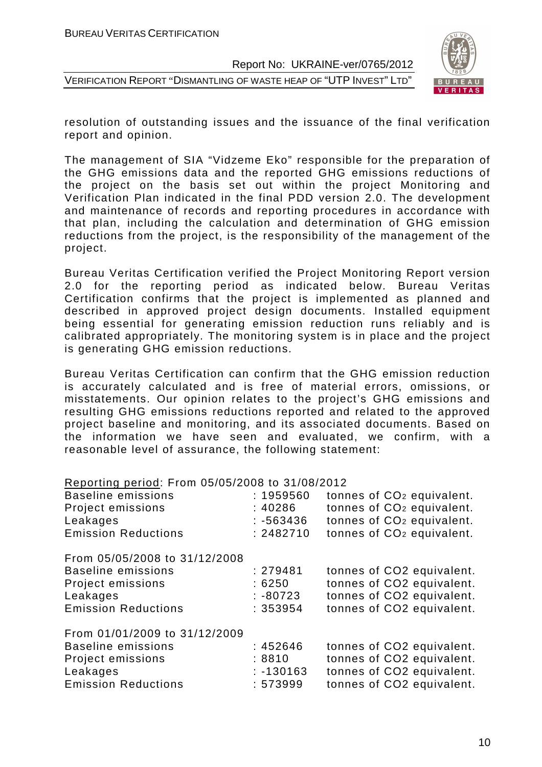VERIFICATION REPORT "DISMANTLING OF WASTE HEAP OF "UTP INVEST" LTD"



resolution of outstanding issues and the issuance of the final verification report and opinion.

The management of SIA "Vidzeme Eko" responsible for the preparation of the GHG emissions data and the reported GHG emissions reductions of the project on the basis set out within the project Monitoring and Verification Plan indicated in the final PDD version 2.0. The development and maintenance of records and reporting procedures in accordance with that plan, including the calculation and determination of GHG emission reductions from the project, is the responsibility of the management of the project.

Bureau Veritas Certification verified the Project Monitoring Report version 2.0 for the reporting period as indicated below. Bureau Veritas Certification confirms that the project is implemented as planned and described in approved project design documents. Installed equipment being essential for generating emission reduction runs reliably and is calibrated appropriately. The monitoring system is in place and the project is generating GHG emission reductions.

Bureau Veritas Certification can confirm that the GHG emission reduction is accurately calculated and is free of material errors, omissions, or misstatements. Our opinion relates to the project's GHG emissions and resulting GHG emissions reductions reported and related to the approved project baseline and monitoring, and its associated documents. Based on the information we have seen and evaluated, we confirm, with a reasonable level of assurance, the following statement:

|  |  | Reporting period: From 05/05/2008 to 31/08/2012 |
|--|--|-------------------------------------------------|
|  |  |                                                 |

| <b>Baseline emissions</b><br>Project emissions<br>Leakages<br><b>Emission Reductions</b>                                  | : 1959560<br>:40286<br>$: -563436$<br>: 2482710 | tonnes of CO <sub>2</sub> equivalent.<br>tonnes of CO <sub>2</sub> equivalent.<br>tonnes of CO <sub>2</sub> equivalent.<br>tonnes of CO <sub>2</sub> equivalent. |
|---------------------------------------------------------------------------------------------------------------------------|-------------------------------------------------|------------------------------------------------------------------------------------------------------------------------------------------------------------------|
| From 05/05/2008 to 31/12/2008<br><b>Baseline emissions</b><br>Project emissions<br>Leakages<br><b>Emission Reductions</b> | : 279481<br>:6250<br>$: -80723$<br>: 353954     | tonnes of CO2 equivalent.<br>tonnes of CO2 equivalent.<br>tonnes of CO2 equivalent.<br>tonnes of CO2 equivalent.                                                 |
| From 01/01/2009 to 31/12/2009<br><b>Baseline emissions</b><br>Project emissions<br>Leakages<br><b>Emission Reductions</b> | :452646<br>:8810<br>$: -130163$<br>: 573999     | tonnes of CO2 equivalent.<br>tonnes of CO2 equivalent.<br>tonnes of CO2 equivalent.<br>tonnes of CO2 equivalent.                                                 |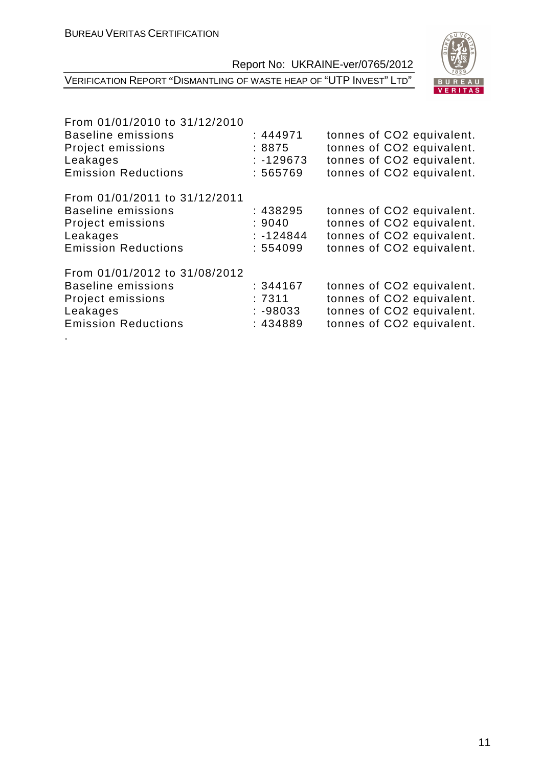| U<br>Èz<br>υ.<br>S<br>828 |
|---------------------------|
| Е.<br>Δ<br>R<br>P,<br>U,  |
| R<br>ς<br>F.<br>œ         |

VERIFICATION REPORT "DISMANTLING OF WASTE HEAP OF "UTP INVEST" LTD"

| From 01/01/2010 to 31/12/2010 |             |                           |
|-------------------------------|-------------|---------------------------|
| <b>Baseline emissions</b>     | : 444971    | tonnes of CO2 equivalent. |
| Project emissions             | :8875       | tonnes of CO2 equivalent. |
| Leakages                      | $: -129673$ | tonnes of CO2 equivalent. |
| <b>Emission Reductions</b>    | : 565769    | tonnes of CO2 equivalent. |
| From 01/01/2011 to 31/12/2011 |             |                           |
| <b>Baseline emissions</b>     | : 438295    | tonnes of CO2 equivalent. |
| Project emissions             | :9040       | tonnes of CO2 equivalent. |
| Leakages                      | $: -124844$ | tonnes of CO2 equivalent. |
| <b>Emission Reductions</b>    | : 554099    | tonnes of CO2 equivalent. |
| From 01/01/2012 to 31/08/2012 |             |                           |
| <b>Baseline emissions</b>     | : 344167    | tonnes of CO2 equivalent. |
| Project emissions             | :7311       | tonnes of CO2 equivalent. |
| Leakages                      | $: -98033$  | tonnes of CO2 equivalent. |
| <b>Emission Reductions</b>    | : 434889    | tonnes of CO2 equivalent. |
|                               |             |                           |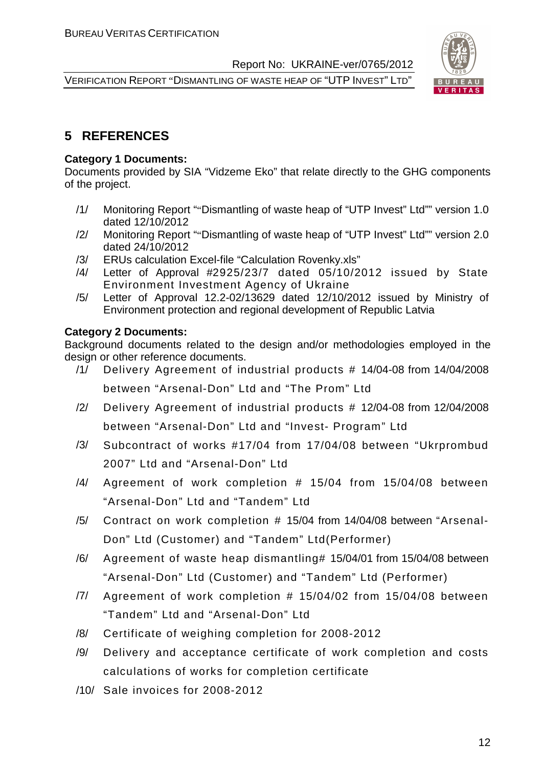VERIFICATION REPORT "DISMANTLING OF WASTE HEAP OF "UTP INVEST" LTD"



#### **5 REFERENCES**

#### **Category 1 Documents:**

Documents provided by SIA "Vidzeme Eko" that relate directly to the GHG components of the project.

- /1/ Monitoring Report ""Dismantling of waste heap of "UTP Invest" Ltd"" version 1.0 dated 12/10/2012
- /2/ Monitoring Report ""Dismantling of waste heap of "UTP Invest" Ltd"" version 2.0 dated 24/10/2012
- /3/ ERUs calculation Excel-file "Calculation Rovenky.xls"
- /4/ Letter of Approval #2925/23/7 dated 05/10/2012 issued by State Environment Investment Agency of Ukraine
- /5/ Letter of Approval 12.2-02/13629 dated 12/10/2012 issued by Ministry of Environment protection and regional development of Republic Latvia

#### **Category 2 Documents:**

Background documents related to the design and/or methodologies employed in the design or other reference documents.

- /1/ Delivery Agreement of industrial products # 14/04-08 from 14/04/2008 between "Arsenal-Don" Ltd and "The Prom" Ltd
- /2/ Delivery Agreement of industrial products # 12/04-08 from 12/04/2008 between "Arsenal-Don" Ltd and "Invest- Program" Ltd
- /3/ Subcontract of works #17/04 from 17/04/08 between "Ukrprombud 2007" Ltd and "Arsenal-Don" Ltd
- /4/ Agreement of work completion # 15/04 from 15/04/08 between "Arsenal-Don" Ltd and "Tandem" Ltd
- /5/ Contract on work completion # 15/04 from 14/04/08 between "Arsenal-Don" Ltd (Customer) and "Tandem" Ltd(Performer)
- /6/ Agreement of waste heap dismantling# 15/04/01 from 15/04/08 between "Arsenal-Don" Ltd (Customer) and "Tandem" Ltd (Performer)
- /7/ Agreement of work completion # 15/04/02 from 15/04/08 between "Tandem" Ltd and "Arsenal-Don" Ltd
- /8/ Certificate of weighing completion for 2008-2012
- /9/ Delivery and acceptance certificate of work completion and costs calculations of works for completion certificate
- /10/ Sale invoices for 2008-2012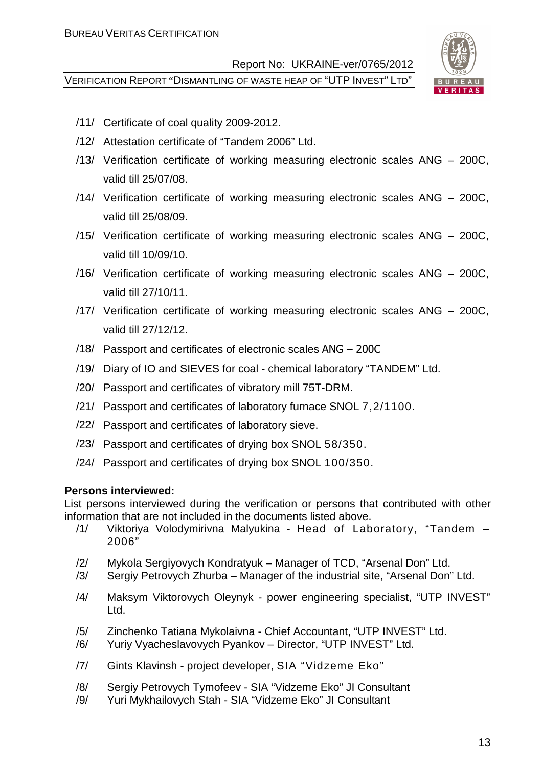VERIFICATION REPORT "DISMANTLING OF WASTE HEAP OF "UTP INVEST" LTD"



- /11/ Certificate of coal quality 2009-2012.
- /12/ Attestation certificate of "Tandem 2006" Ltd.
- /13/ Verification certificate of working measuring electronic scales ANG 200C, valid till 25/07/08.
- /14/ Verification certificate of working measuring electronic scales ANG 200C, valid till 25/08/09.
- /15/ Verification certificate of working measuring electronic scales ANG 200C, valid till 10/09/10.
- /16/ Verification certificate of working measuring electronic scales ANG 200C, valid till 27/10/11.
- /17/ Verification certificate of working measuring electronic scales ANG 200C, valid till 27/12/12.
- /18/ Passport and certificates of electronic scales ANG 200C
- /19/ Diary of IO and SIEVES for coal chemical laboratory "TANDEM" Ltd.
- /20/ Passport and certificates of vibratory mill 75T-DRM.
- /21/ Passport and certificates of laboratory furnace SNOL 7,2/1100.
- /22/ Passport and certificates of laboratory sieve.
- /23/ Passport and certificates of drying box SNOL 58/350.
- /24/ Passport and certificates of drying box SNOL 100/350.

#### **Persons interviewed:**

List persons interviewed during the verification or persons that contributed with other information that are not included in the documents listed above.

- /1/ Viktoriya Volodymirivna Malyukina Head of Laboratory, "Tandem 2006"
- /2/ Mykola Sergiyovych Kondratyuk Manager of TCD, "Arsenal Don" Ltd.
- /3/ Sergiy Petrovych Zhurba Manager of the industrial site, "Arsenal Don" Ltd.
- /4/ Maksym Viktorovych Oleynyk power engineering specialist, "UTP INVEST" Ltd.
- /5/ Zinchenko Tatiana Mykolaivna Chief Accountant, "UTP INVEST" Ltd.
- /6/ Yuriy Vyacheslavovych Pyankov Director, "UTP INVEST" Ltd.
- /7/ Gints Klavinsh project developer, SIA "Vidzeme Eko"
- /8/ Sergiy Petrovych Tymofeev SIA "Vidzeme Eko" JI Consultant
- /9/ Yuri Mykhailovych Stah SIA "Vidzeme Eko" JI Consultant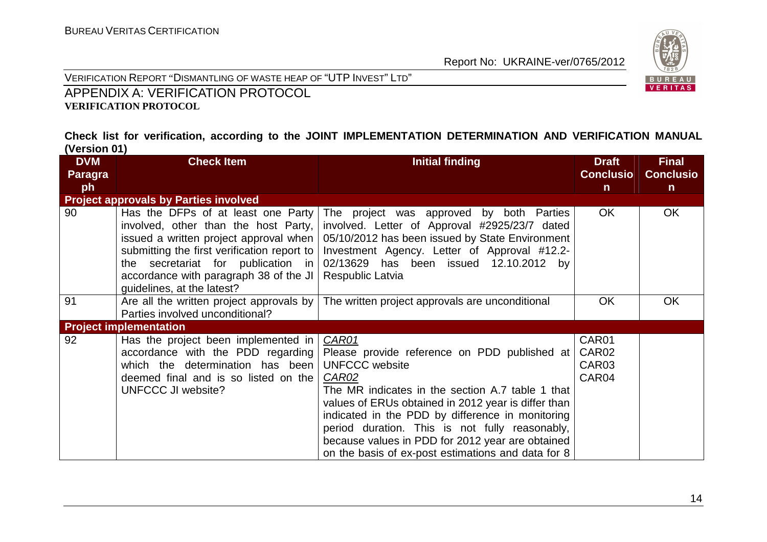

VERIFICATION REPORT "DISMANTLING OF WASTE HEAP OF "UTP <sup>I</sup>NVEST" <sup>L</sup>TD"

APPENDIX A: VERIFICATION PROTOCOL **VERIFICATION PROTOCOL** 

#### **Check list for verification, according to the JOINT IMPLEMENTATION DETERMINATION AND VERIFICATION MANUAL (Version 01)**

| <b>DVM</b>     | <b>Check Item</b>                                                                                                                                                                                                                                                                   | <b>Initial finding</b>                                                                                                                                                                                                                                                                                                                                                                                                    | <b>Draft</b>                                 | <b>Final</b>     |
|----------------|-------------------------------------------------------------------------------------------------------------------------------------------------------------------------------------------------------------------------------------------------------------------------------------|---------------------------------------------------------------------------------------------------------------------------------------------------------------------------------------------------------------------------------------------------------------------------------------------------------------------------------------------------------------------------------------------------------------------------|----------------------------------------------|------------------|
| <b>Paragra</b> |                                                                                                                                                                                                                                                                                     |                                                                                                                                                                                                                                                                                                                                                                                                                           | <b>Conclusio</b>                             | <b>Conclusio</b> |
| ph             |                                                                                                                                                                                                                                                                                     |                                                                                                                                                                                                                                                                                                                                                                                                                           | $\mathsf{n}$                                 | $\mathsf{n}$     |
|                | <b>Project approvals by Parties involved</b>                                                                                                                                                                                                                                        |                                                                                                                                                                                                                                                                                                                                                                                                                           |                                              |                  |
| 90             | Has the DFPs of at least one Party<br>involved, other than the host Party,<br>issued a written project approval when  <br>submitting the first verification report to<br>the secretariat for publication in<br>accordance with paragraph 38 of the JI<br>guidelines, at the latest? | The project was approved by both Parties<br>involved. Letter of Approval #2925/23/7 dated<br>05/10/2012 has been issued by State Environment<br>Investment Agency. Letter of Approval #12.2-<br>02/13629 has been issued 12.10.2012 by<br>Respublic Latvia                                                                                                                                                                | OK.                                          | <b>OK</b>        |
| 91             | Are all the written project approvals by<br>Parties involved unconditional?                                                                                                                                                                                                         | The written project approvals are unconditional                                                                                                                                                                                                                                                                                                                                                                           | OK                                           | <b>OK</b>        |
|                | <b>Project implementation</b>                                                                                                                                                                                                                                                       |                                                                                                                                                                                                                                                                                                                                                                                                                           |                                              |                  |
| 92             | Has the project been implemented in<br>accordance with the PDD regarding<br>which the determination has been<br>deemed final and is so listed on the<br><b>UNFCCC JI website?</b>                                                                                                   | <b>CAR01</b><br>Please provide reference on PDD published at<br><b>UNFCCC</b> website<br>CAR02<br>The MR indicates in the section A.7 table 1 that<br>values of ERUs obtained in 2012 year is differ than<br>indicated in the PDD by difference in monitoring<br>period duration. This is not fully reasonably,<br>because values in PDD for 2012 year are obtained<br>on the basis of ex-post estimations and data for 8 | CAR01<br>CAR <sub>02</sub><br>CAR03<br>CAR04 |                  |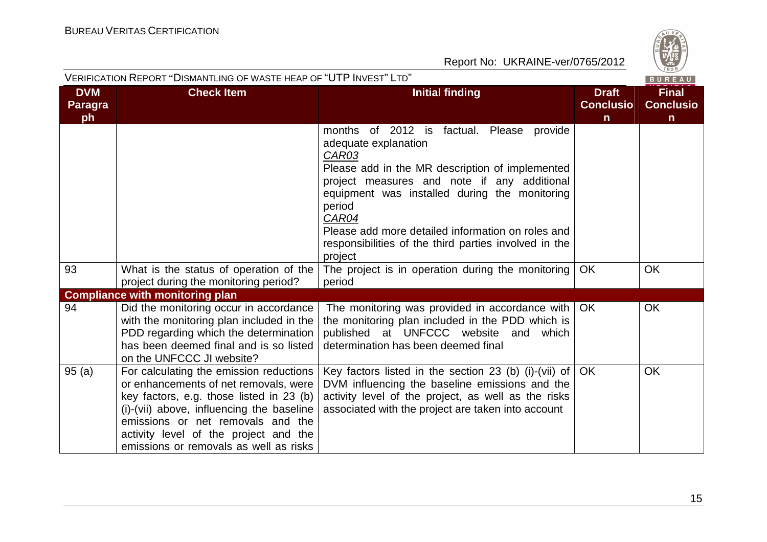

|                                    | VERIFICATION REPORT "DISMANTLING OF WASTE HEAP OF "UTP INVEST" LTD"                                                                                                                                                                                                                               |                                                                                                                                                                                                                                                                                                                                                                                 |                                                  | $\sqrt{1828}$<br>BUREAU                          |
|------------------------------------|---------------------------------------------------------------------------------------------------------------------------------------------------------------------------------------------------------------------------------------------------------------------------------------------------|---------------------------------------------------------------------------------------------------------------------------------------------------------------------------------------------------------------------------------------------------------------------------------------------------------------------------------------------------------------------------------|--------------------------------------------------|--------------------------------------------------|
| <b>DVM</b><br><b>Paragra</b><br>ph | <b>Check Item</b>                                                                                                                                                                                                                                                                                 | <b>Initial finding</b>                                                                                                                                                                                                                                                                                                                                                          | <b>Draft</b><br><b>Conclusio</b><br>$\mathsf{n}$ | <b>Final</b><br><b>Conclusio</b><br>$\mathsf{n}$ |
|                                    |                                                                                                                                                                                                                                                                                                   | months of 2012 is<br>factual. Please<br>provide<br>adequate explanation<br>CAR03<br>Please add in the MR description of implemented<br>project measures and note if any additional<br>equipment was installed during the monitoring<br>period<br>CAR04<br>Please add more detailed information on roles and<br>responsibilities of the third parties involved in the<br>project |                                                  |                                                  |
| 93                                 | What is the status of operation of the<br>project during the monitoring period?                                                                                                                                                                                                                   | The project is in operation during the monitoring<br>period                                                                                                                                                                                                                                                                                                                     | <b>OK</b>                                        | <b>OK</b>                                        |
|                                    | <b>Compliance with monitoring plan</b>                                                                                                                                                                                                                                                            |                                                                                                                                                                                                                                                                                                                                                                                 |                                                  |                                                  |
| 94                                 | Did the monitoring occur in accordance<br>with the monitoring plan included in the<br>PDD regarding which the determination<br>has been deemed final and is so listed<br>on the UNFCCC JI website?                                                                                                | The monitoring was provided in accordance with<br>the monitoring plan included in the PDD which is<br>published at UNFCCC website and<br>which<br>determination has been deemed final                                                                                                                                                                                           | OK.                                              | <b>OK</b>                                        |
| 95(a)                              | For calculating the emission reductions<br>or enhancements of net removals, were<br>key factors, e.g. those listed in 23 (b)<br>(i)-(vii) above, influencing the baseline<br>emissions or net removals and the<br>activity level of the project and the<br>emissions or removals as well as risks | Key factors listed in the section 23 (b) (i)-(vii) of<br>DVM influencing the baseline emissions and the<br>activity level of the project, as well as the risks<br>associated with the project are taken into account                                                                                                                                                            | <b>OK</b>                                        | <b>OK</b>                                        |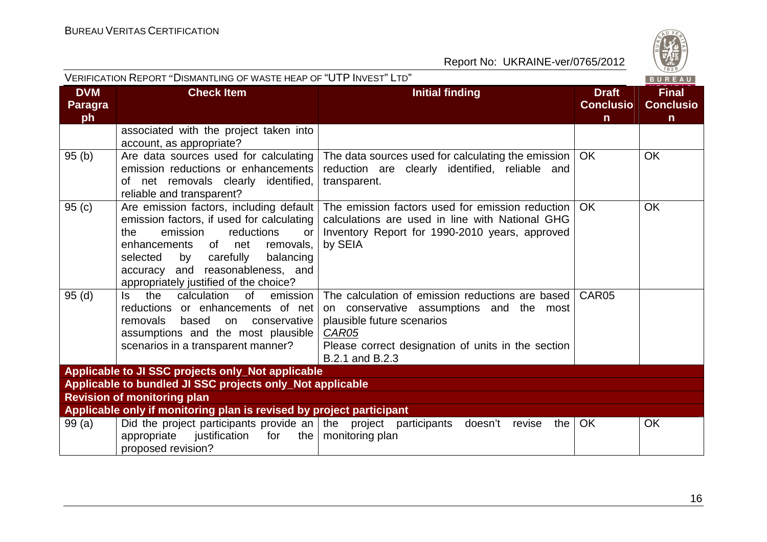

| VERIFICATION REPORT ''DISMANTLING OF WASTE HEAP OF ''UTP INVEST'' LTD''<br>BUREAU |                                                                                                                                                                                                                                                                                              |                                                                                                                                                                                                                     |                                                  |                                                  |
|-----------------------------------------------------------------------------------|----------------------------------------------------------------------------------------------------------------------------------------------------------------------------------------------------------------------------------------------------------------------------------------------|---------------------------------------------------------------------------------------------------------------------------------------------------------------------------------------------------------------------|--------------------------------------------------|--------------------------------------------------|
| <b>DVM</b><br><b>Paragra</b><br>ph                                                | <b>Check Item</b>                                                                                                                                                                                                                                                                            | <b>Initial finding</b>                                                                                                                                                                                              | <b>Draft</b><br><b>Conclusio</b><br>$\mathsf{n}$ | <b>Final</b><br><b>Conclusio</b><br>$\mathsf{n}$ |
|                                                                                   | associated with the project taken into<br>account, as appropriate?                                                                                                                                                                                                                           |                                                                                                                                                                                                                     |                                                  |                                                  |
| 95 (b)                                                                            | Are data sources used for calculating<br>emission reductions or enhancements<br>of net removals clearly identified,<br>reliable and transparent?                                                                                                                                             | The data sources used for calculating the emission<br>reduction are clearly identified, reliable and<br>transparent.                                                                                                | <b>OK</b>                                        | <b>OK</b>                                        |
| 95 (c)                                                                            | Are emission factors, including default<br>emission factors, if used for calculating<br>emission<br>reductions<br>the<br>or<br>of net<br>enhancements<br>removals,<br>selected<br>by<br>carefully<br>balancing<br>accuracy and reasonableness, and<br>appropriately justified of the choice? | The emission factors used for emission reduction<br>calculations are used in line with National GHG<br>Inventory Report for 1990-2010 years, approved<br>by SEIA                                                    | <b>OK</b>                                        | <b>OK</b>                                        |
| 95 (d)                                                                            | the<br>calculation<br>0f<br>emission<br>Is.<br>reductions or enhancements of net<br>removals<br>based<br>conservative<br>on<br>assumptions and the most plausible<br>scenarios in a transparent manner?                                                                                      | The calculation of emission reductions are based<br>on conservative assumptions and the most<br>plausible future scenarios<br><b>CAR05</b><br>Please correct designation of units in the section<br>B.2.1 and B.2.3 | CAR05                                            |                                                  |
|                                                                                   | Applicable to JI SSC projects only_Not applicable                                                                                                                                                                                                                                            |                                                                                                                                                                                                                     |                                                  |                                                  |
|                                                                                   | Applicable to bundled JI SSC projects only_Not applicable                                                                                                                                                                                                                                    |                                                                                                                                                                                                                     |                                                  |                                                  |
|                                                                                   | <b>Revision of monitoring plan</b>                                                                                                                                                                                                                                                           |                                                                                                                                                                                                                     |                                                  |                                                  |
|                                                                                   | Applicable only if monitoring plan is revised by project participant                                                                                                                                                                                                                         |                                                                                                                                                                                                                     |                                                  |                                                  |
| 99 (a)                                                                            | Did the project participants provide an the project participants doesn't<br>appropriate<br>justification<br>for<br>proposed revision?                                                                                                                                                        | revise<br>the<br>the $\vert$ monitoring plan                                                                                                                                                                        | OK                                               | <b>OK</b>                                        |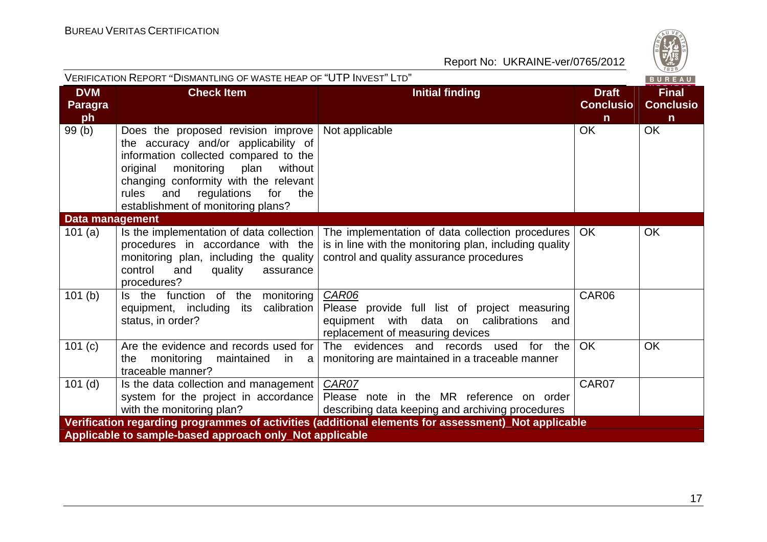

|                                                                                                     | VERIFICATION REPORT "DISMANTLING OF WASTE HEAP OF "UTP INVEST" LTD"<br>BUREAU                                                                                                                                                                                                                |                                                                                                                                                        |                                                  |                                                  |  |  |
|-----------------------------------------------------------------------------------------------------|----------------------------------------------------------------------------------------------------------------------------------------------------------------------------------------------------------------------------------------------------------------------------------------------|--------------------------------------------------------------------------------------------------------------------------------------------------------|--------------------------------------------------|--------------------------------------------------|--|--|
| <b>DVM</b><br><b>Paragra</b><br>ph                                                                  | <b>Check Item</b>                                                                                                                                                                                                                                                                            | <b>Initial finding</b>                                                                                                                                 | <b>Draft</b><br><b>Conclusio</b><br>$\mathsf{n}$ | <b>Final</b><br><b>Conclusio</b><br>$\mathsf{n}$ |  |  |
| 99(b)                                                                                               | Does the proposed revision improve<br>the accuracy and/or applicability of<br>information collected compared to the<br>original<br>monitoring<br>plan<br>without<br>changing conformity with the relevant<br>regulations<br>rules<br>for<br>the<br>and<br>establishment of monitoring plans? | Not applicable                                                                                                                                         | OK                                               | OK                                               |  |  |
| Data management                                                                                     |                                                                                                                                                                                                                                                                                              |                                                                                                                                                        |                                                  |                                                  |  |  |
| 101(a)                                                                                              | Is the implementation of data collection<br>procedures in accordance with the<br>monitoring plan, including the quality<br>control<br>and<br>quality<br>assurance<br>procedures?                                                                                                             | The implementation of data collection procedures<br>is in line with the monitoring plan, including quality<br>control and quality assurance procedures | OK                                               | <b>OK</b>                                        |  |  |
| 101(b)                                                                                              | Is the function of the monitoring<br>calibration<br>equipment, including<br>its<br>status, in order?                                                                                                                                                                                         | CAR06<br>Please provide full list of project measuring<br>equipment with data on calibrations<br>and<br>replacement of measuring devices               | CAR06                                            |                                                  |  |  |
| 101(c)                                                                                              | Are the evidence and records used for<br>monitoring<br>maintained<br>the<br>in a<br>traceable manner?                                                                                                                                                                                        | The evidences and records used for the<br>monitoring are maintained in a traceable manner                                                              | OK                                               | OK                                               |  |  |
| $101$ (d)                                                                                           | Is the data collection and management<br>system for the project in accordance<br>with the monitoring plan?                                                                                                                                                                                   | CAR07<br>Please note in the MR reference on order<br>describing data keeping and archiving procedures                                                  | CAR07                                            |                                                  |  |  |
| Verification regarding programmes of activities (additional elements for assessment)_Not applicable |                                                                                                                                                                                                                                                                                              |                                                                                                                                                        |                                                  |                                                  |  |  |
|                                                                                                     | Applicable to sample-based approach only_Not applicable                                                                                                                                                                                                                                      |                                                                                                                                                        |                                                  |                                                  |  |  |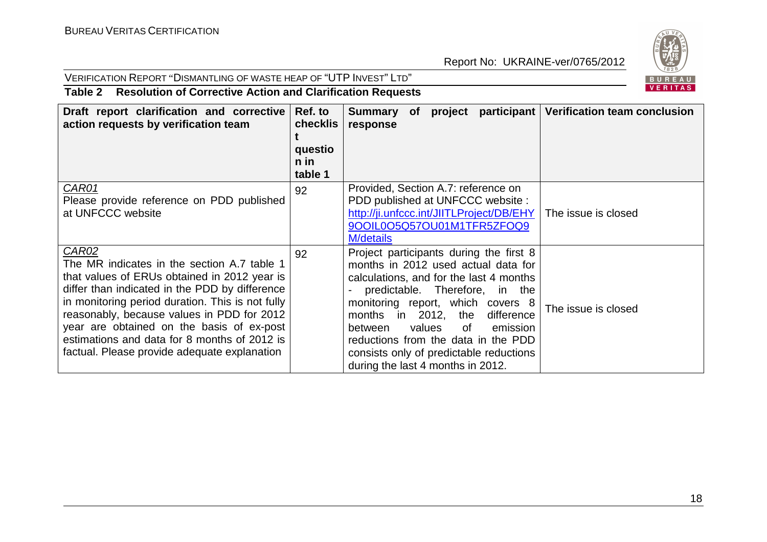

### VERIFICATION REPORT "DISMANTLING OF WASTE HEAP OF "UTP <sup>I</sup>NVEST" <sup>L</sup>TD"

#### **Table 2 Resolution of Corrective Action and Clarification Requests**

| Draft report clarification and corrective<br>action requests by verification team                                                                                                                                                                                                                                                                                                                     | Ref. to<br>checklis<br>questio<br>n in<br>table 1 | Summary of project<br>response                                                                                                                                                                                                                                                                                                                                                                      | participant   Verification team conclusion |
|-------------------------------------------------------------------------------------------------------------------------------------------------------------------------------------------------------------------------------------------------------------------------------------------------------------------------------------------------------------------------------------------------------|---------------------------------------------------|-----------------------------------------------------------------------------------------------------------------------------------------------------------------------------------------------------------------------------------------------------------------------------------------------------------------------------------------------------------------------------------------------------|--------------------------------------------|
| CAR01<br>Please provide reference on PDD published<br>at UNFCCC website                                                                                                                                                                                                                                                                                                                               | 92                                                | Provided, Section A.7: reference on<br>PDD published at UNFCCC website :<br>http://ji.unfccc.int/JIITLProject/DB/EHY<br>9OOIL0O5Q57OU01M1TFR5ZFOQ9<br><b>M</b> /details                                                                                                                                                                                                                             | The issue is closed                        |
| CAR02<br>The MR indicates in the section A.7 table 1<br>that values of ERUs obtained in 2012 year is<br>differ than indicated in the PDD by difference<br>in monitoring period duration. This is not fully<br>reasonably, because values in PDD for 2012<br>year are obtained on the basis of ex-post<br>estimations and data for 8 months of 2012 is<br>factual. Please provide adequate explanation | 92                                                | Project participants during the first 8<br>months in 2012 used actual data for<br>calculations, and for the last 4 months<br>predictable. Therefore, in the<br>monitoring report, which covers 8<br>months in 2012, the<br>difference<br>values<br>emission<br>between<br>0f<br>reductions from the data in the PDD<br>consists only of predictable reductions<br>during the last 4 months in 2012. | The issue is closed                        |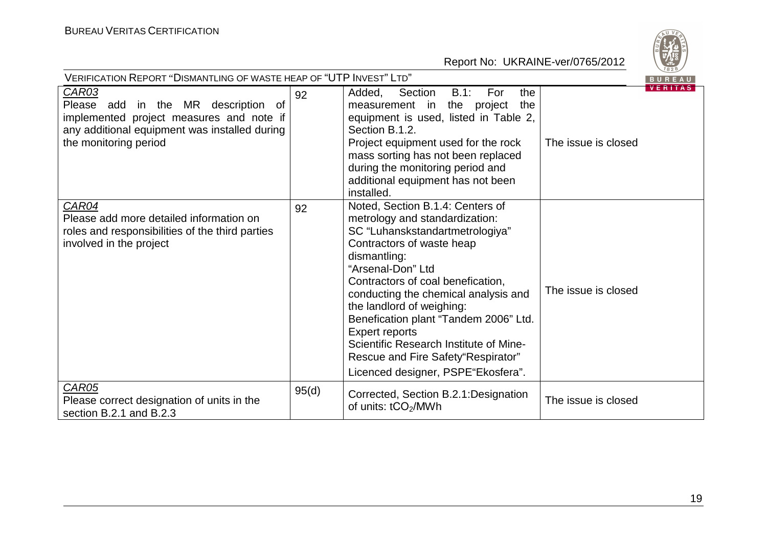

| VERIFICATION REPORT "DISMANTLING OF WASTE HEAP OF "UTP INVEST" LTD"<br>BUREAU                                                                                                |       |                                                                                                                                                                                                                                                                                                                                                                                                                                                                            |                                       |  |  |
|------------------------------------------------------------------------------------------------------------------------------------------------------------------------------|-------|----------------------------------------------------------------------------------------------------------------------------------------------------------------------------------------------------------------------------------------------------------------------------------------------------------------------------------------------------------------------------------------------------------------------------------------------------------------------------|---------------------------------------|--|--|
| <b>CAR03</b><br>Please add in the MR description<br>0f<br>implemented project measures and note if<br>any additional equipment was installed during<br>the monitoring period | 92    | $B.1$ :<br>For<br>the<br>Added,<br>Section<br>measurement in the project<br>the<br>equipment is used, listed in Table 2,<br>Section B.1.2.<br>Project equipment used for the rock<br>mass sorting has not been replaced<br>during the monitoring period and<br>additional equipment has not been<br>installed.                                                                                                                                                             | <b>VERITAS</b><br>The issue is closed |  |  |
| CAR04<br>Please add more detailed information on<br>roles and responsibilities of the third parties<br>involved in the project                                               | 92    | Noted, Section B.1.4: Centers of<br>metrology and standardization:<br>SC "Luhanskstandartmetrologiya"<br>Contractors of waste heap<br>dismantling:<br>"Arsenal-Don" Ltd<br>Contractors of coal benefication,<br>conducting the chemical analysis and<br>the landlord of weighing:<br>Benefication plant "Tandem 2006" Ltd.<br><b>Expert reports</b><br>Scientific Research Institute of Mine-<br>Rescue and Fire Safety "Respirator"<br>Licenced designer, PSPE"Ekosfera". | The issue is closed                   |  |  |
| CAR05<br>Please correct designation of units in the<br>section B.2.1 and B.2.3                                                                                               | 95(d) | Corrected, Section B.2.1: Designation<br>of units: tCO <sub>2</sub> /MWh                                                                                                                                                                                                                                                                                                                                                                                                   | The issue is closed                   |  |  |